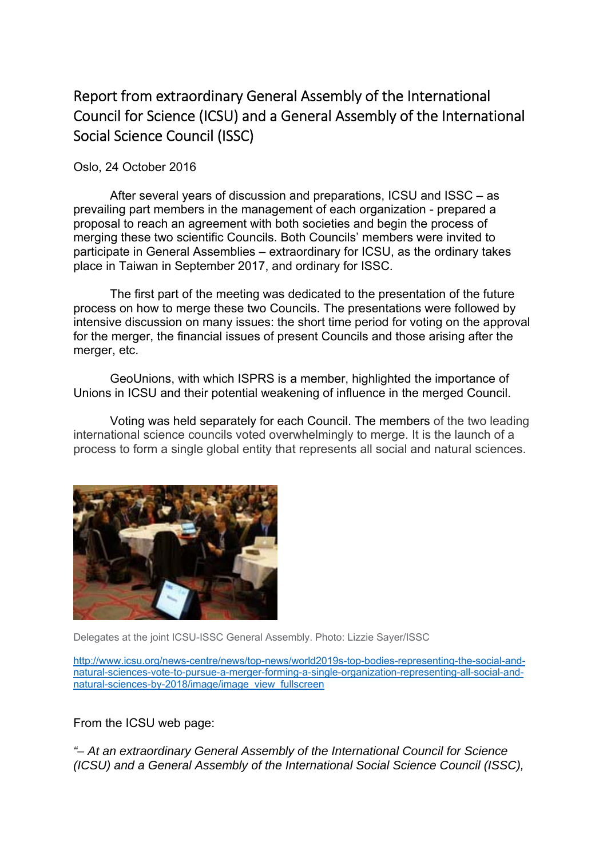## Report from extraordinary General Assembly of the International Council for Science (ICSU) and a General Assembly of the International Social Science Council (ISSC)

Oslo, 24 October 2016

After several years of discussion and preparations, ICSU and ISSC – as prevailing part members in the management of each organization - prepared a proposal to reach an agreement with both societies and begin the process of merging these two scientific Councils. Both Councils' members were invited to participate in General Assemblies – extraordinary for ICSU, as the ordinary takes place in Taiwan in September 2017, and ordinary for ISSC.

The first part of the meeting was dedicated to the presentation of the future process on how to merge these two Councils. The presentations were followed by intensive discussion on many issues: the short time period for voting on the approval for the merger, the financial issues of present Councils and those arising after the merger, etc.

GeoUnions, with which ISPRS is a member, highlighted the importance of Unions in ICSU and their potential weakening of influence in the merged Council.

Voting was held separately for each Council. The members of the two leading international science councils voted overwhelmingly to merge. It is the launch of a process to form a single global entity that represents all social and natural sciences.



Delegates at the joint ICSU-ISSC General Assembly. Photo: Lizzie Sayer/ISSC

http://www.icsu.org/news-centre/news/top-news/world2019s-top-bodies-representing-the-social-andnatural-sciences-vote-to-pursue-a-merger-forming-a-single-organization-representing-all-social-andnatural-sciences-by-2018/image/image\_view\_fullscreen

From the ICSU web page:

*"– At an extraordinary General Assembly of the International Council for Science (ICSU) and a General Assembly of the International Social Science Council (ISSC),*